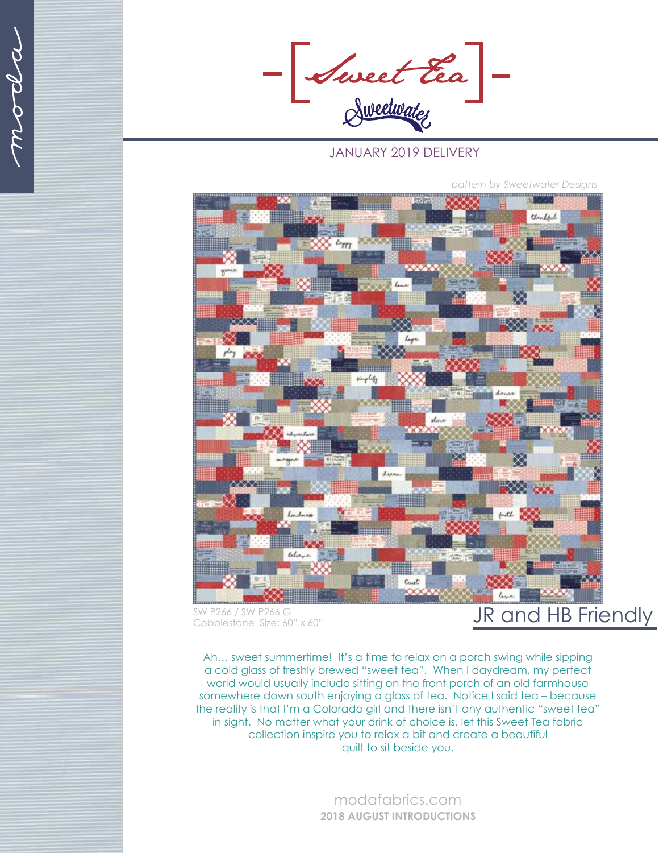anod

- Sweet Eea -

## JANUARY 2019 DELIVERY

Handful  $L_{TTT}$ trust

*pattern by Sweetwater Designs*

Cobblestone Size: 60" x 60"

## SW P266 / SW P266 G<br>Copblestone Size: 60" x 60"

Ah… sweet summertime! It's a time to relax on a porch swing while sipping a cold glass of freshly brewed "sweet tea". When I daydream, my perfect world would usually include sitting on the front porch of an old farmhouse somewhere down south enjoying a glass of tea. Notice I said tea – because the reality is that I'm a Colorado girl and there isn't any authentic "sweet tea" in sight. No matter what your drink of choice is, let this Sweet Tea fabric collection inspire you to relax a bit and create a beautiful quilt to sit beside you.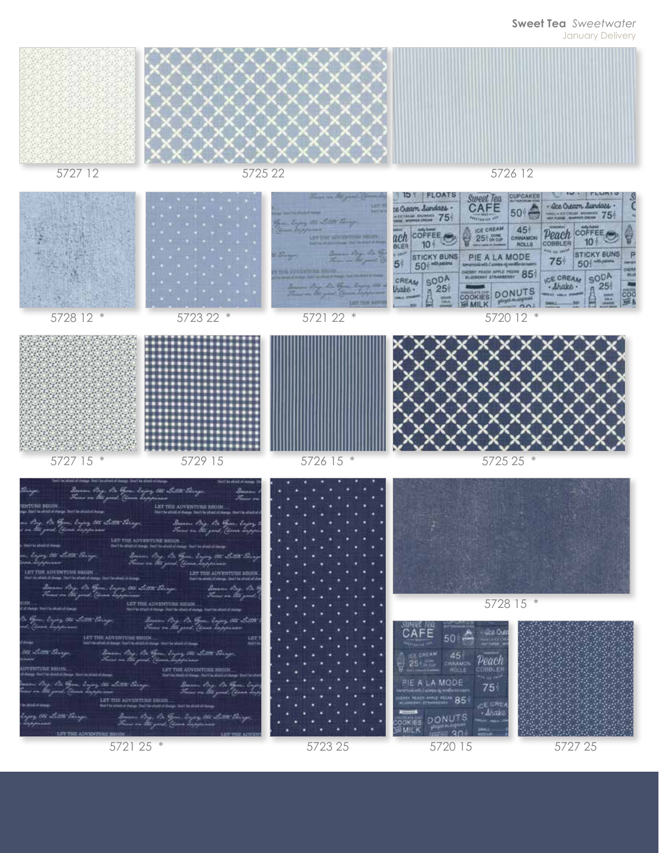## **Sweet Tea** *Sweetwater*

January Delivery



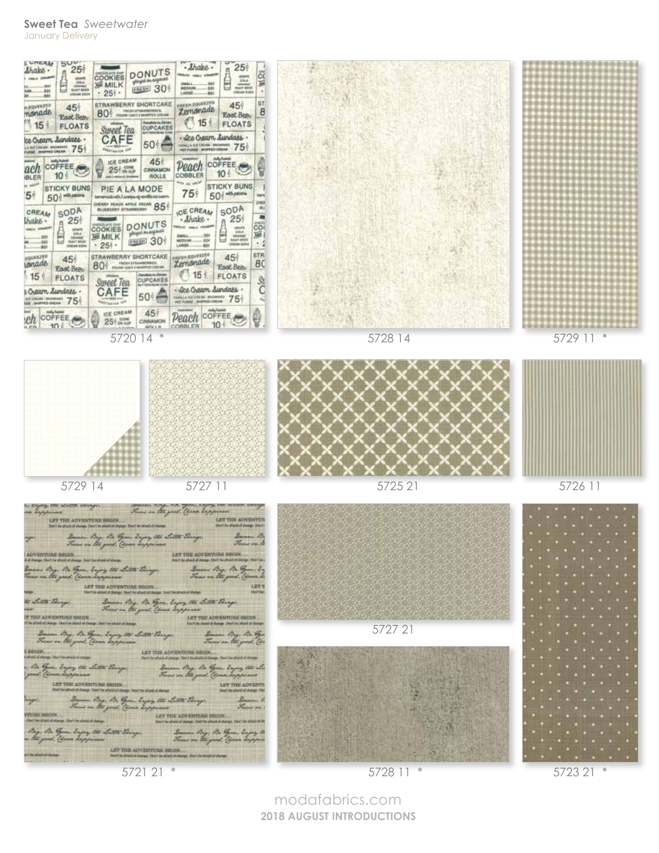## **Sweet Tea** *Sweetwater* January Delivery



5721 21 \*

5728 11 \*

5723 21 \*

modafabrics.com **2018 AUGUST INTRODUCTIONS**